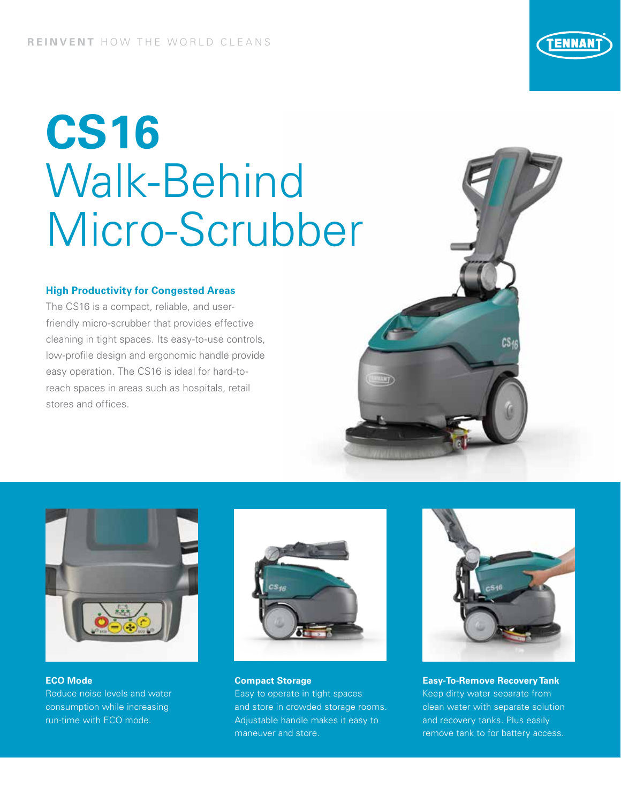# **CS16** Walk-Behind Micro-Scrubber

### **High Productivity for Congested Areas**

**ECO Mode** 

Reduce noise levels and water consumption while increasing run-time with ECO mode.

The CS16 is a compact, reliable, and userfriendly micro-scrubber that provides effective cleaning in tight spaces. Its easy-to-use controls, low-profile design and ergonomic handle provide easy operation. The CS16 is ideal for hard-toreach spaces in areas such as hospitals, retail stores and offices.



**Compact Storage** 

Easy to operate in tight spaces and store in crowded storage rooms. Adjustable handle makes it easy to maneuver and store.



**Easy-To-Remove Recovery Tank** Keep dirty water separate from clean water with separate solution and recovery tanks. Plus easily remove tank to for battery access.



W)